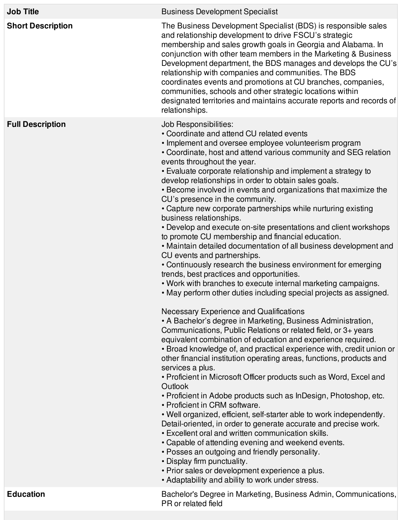| <b>Job Title</b>         | <b>Business Development Specialist</b>                                                                                                                                                                                                                                                                                                                                                                                                                                                                                                                                                                                                                                                                                                                                                                                                                                                                                                                                                                                                                                                                                                                                                                                                                                                                                                                                                                                                                                                                                                                                                                                                                                                                                                                                                                                                                                                                                                                                                                                                                                                               |
|--------------------------|------------------------------------------------------------------------------------------------------------------------------------------------------------------------------------------------------------------------------------------------------------------------------------------------------------------------------------------------------------------------------------------------------------------------------------------------------------------------------------------------------------------------------------------------------------------------------------------------------------------------------------------------------------------------------------------------------------------------------------------------------------------------------------------------------------------------------------------------------------------------------------------------------------------------------------------------------------------------------------------------------------------------------------------------------------------------------------------------------------------------------------------------------------------------------------------------------------------------------------------------------------------------------------------------------------------------------------------------------------------------------------------------------------------------------------------------------------------------------------------------------------------------------------------------------------------------------------------------------------------------------------------------------------------------------------------------------------------------------------------------------------------------------------------------------------------------------------------------------------------------------------------------------------------------------------------------------------------------------------------------------------------------------------------------------------------------------------------------------|
| <b>Short Description</b> | The Business Development Specialist (BDS) is responsible sales<br>and relationship development to drive FSCU's strategic<br>membership and sales growth goals in Georgia and Alabama. In<br>conjunction with other team members in the Marketing & Business<br>Development department, the BDS manages and develops the CU's<br>relationship with companies and communities. The BDS<br>coordinates events and promotions at CU branches, companies,<br>communities, schools and other strategic locations within<br>designated territories and maintains accurate reports and records of<br>relationships.                                                                                                                                                                                                                                                                                                                                                                                                                                                                                                                                                                                                                                                                                                                                                                                                                                                                                                                                                                                                                                                                                                                                                                                                                                                                                                                                                                                                                                                                                          |
| <b>Full Description</b>  | Job Responsibilities:<br>• Coordinate and attend CU related events<br>• Implement and oversee employee volunteerism program<br>• Coordinate, host and attend various community and SEG relation<br>events throughout the year.<br>• Evaluate corporate relationship and implement a strategy to<br>develop relationships in order to obtain sales goals.<br>• Become involved in events and organizations that maximize the<br>CU's presence in the community.<br>• Capture new corporate partnerships while nurturing existing<br>business relationships.<br>• Develop and execute on-site presentations and client workshops<br>to promote CU membership and financial education.<br>• Maintain detailed documentation of all business development and<br>CU events and partnerships.<br>• Continuously research the business environment for emerging<br>trends, best practices and opportunities.<br>. Work with branches to execute internal marketing campaigns.<br>• May perform other duties including special projects as assigned.<br>Necessary Experience and Qualifications<br>• A Bachelor's degree in Marketing, Business Administration,<br>Communications, Public Relations or related field, or 3+ years<br>equivalent combination of education and experience required.<br>• Broad knowledge of, and practical experience with, credit union or<br>other financial institution operating areas, functions, products and<br>services a plus.<br>• Proficient in Microsoft Officer products such as Word, Excel and<br>Outlook<br>• Proficient in Adobe products such as InDesign, Photoshop, etc.<br>• Proficient in CRM software.<br>. Well organized, efficient, self-starter able to work independently.<br>Detail-oriented, in order to generate accurate and precise work.<br>• Excellent oral and written communication skills.<br>• Capable of attending evening and weekend events.<br>• Posses an outgoing and friendly personality.<br>• Display firm punctuality.<br>• Prior sales or development experience a plus.<br>• Adaptability and ability to work under stress. |
| <b>Education</b>         | Bachelor's Degree in Marketing, Business Admin, Communications,<br>PR or related field                                                                                                                                                                                                                                                                                                                                                                                                                                                                                                                                                                                                                                                                                                                                                                                                                                                                                                                                                                                                                                                                                                                                                                                                                                                                                                                                                                                                                                                                                                                                                                                                                                                                                                                                                                                                                                                                                                                                                                                                               |